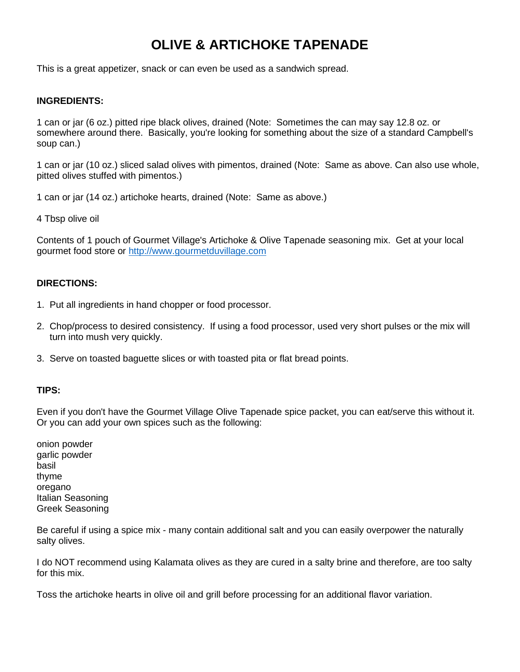## **OLIVE & ARTICHOKE TAPENADE**

This is a great appetizer, snack or can even be used as a sandwich spread.

## **INGREDIENTS:**

1 can or jar (6 oz.) pitted ripe black olives, drained (Note: Sometimes the can may say 12.8 oz. or somewhere around there. Basically, you're looking for something about the size of a standard Campbell's soup can.)

1 can or jar (10 oz.) sliced salad olives with pimentos, drained (Note: Same as above. Can also use whole, pitted olives stuffed with pimentos.)

1 can or jar (14 oz.) artichoke hearts, drained (Note: Same as above.)

4 Tbsp olive oil

Contents of 1 pouch of Gourmet Village's Artichoke & Olive Tapenade seasoning mix. Get at your local gourmet food store or [http://www.gourmetduvillage.com](http://www.gourmetduvillage.com/)

## **DIRECTIONS:**

- 1. Put all ingredients in hand chopper or food processor.
- 2. Chop/process to desired consistency. If using a food processor, used very short pulses or the mix will turn into mush very quickly.
- 3. Serve on toasted baguette slices or with toasted pita or flat bread points.

## **TIPS:**

Even if you don't have the Gourmet Village Olive Tapenade spice packet, you can eat/serve this without it. Or you can add your own spices such as the following:

onion powder garlic powder basil thyme oregano Italian Seasoning Greek Seasoning

Be careful if using a spice mix - many contain additional salt and you can easily overpower the naturally salty olives.

I do NOT recommend using Kalamata olives as they are cured in a salty brine and therefore, are too salty for this mix.

Toss the artichoke hearts in olive oil and grill before processing for an additional flavor variation.